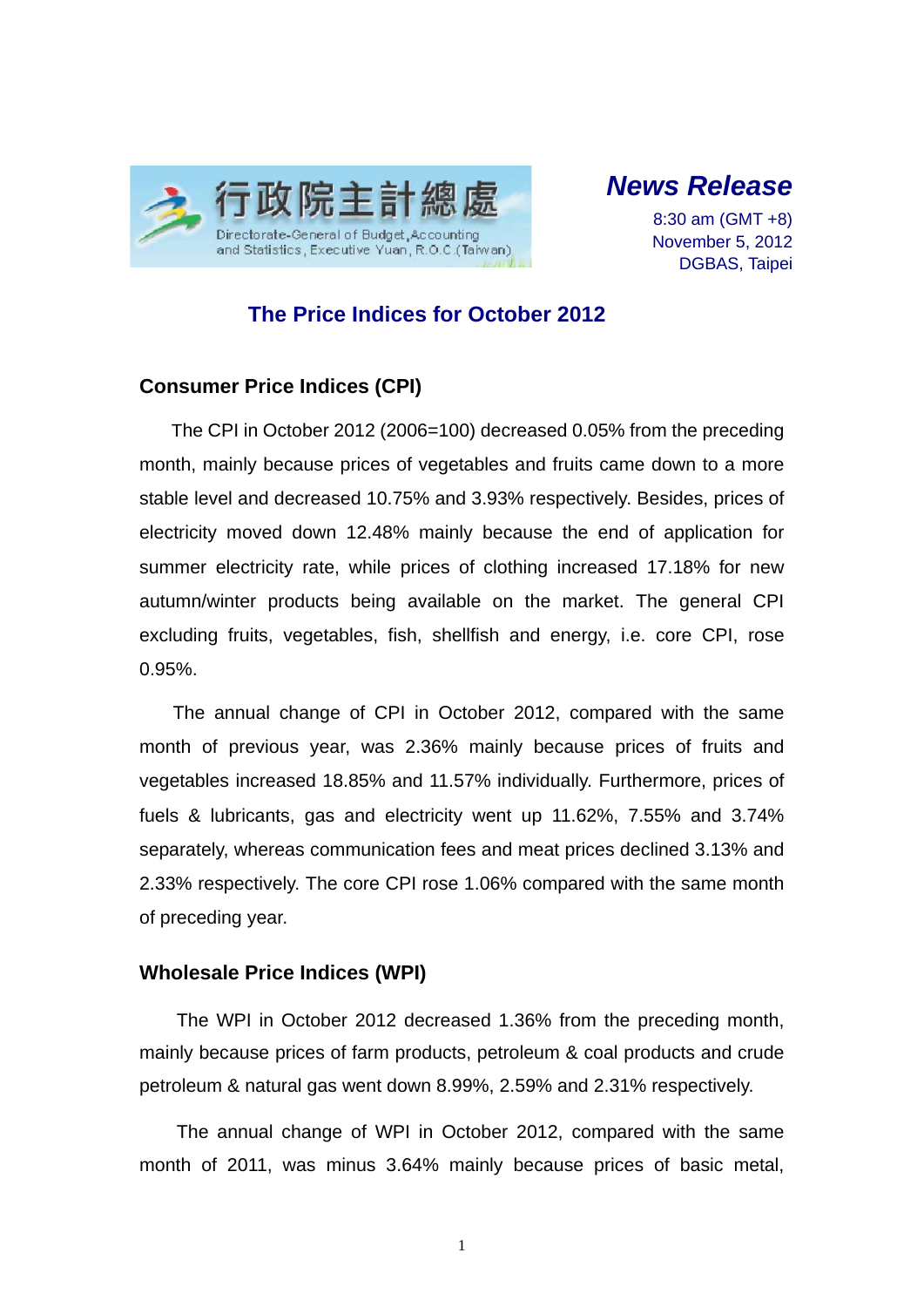

# *News Release*

8:30 am (GMT +8) November 5, 2012 DGBAS, Taipei

### **The Price Indices for October 2012**

#### **Consumer Price Indices (CPI)**

The CPI in October 2012 (2006=100) decreased 0.05% from the preceding month, mainly because prices of vegetables and fruits came down to a more stable level and decreased 10.75% and 3.93% respectively. Besides, prices of electricity moved down 12.48% mainly because the end of application for summer electricity rate, while prices of clothing increased 17.18% for new autumn/winter products being available on the market. The general CPI excluding fruits, vegetables, fish, shellfish and energy, i.e. core CPI, rose 0.95%.

The annual change of CPI in October 2012, compared with the same month of previous year, was 2.36% mainly because prices of fruits and vegetables increased 18.85% and 11.57% individually. Furthermore, prices of fuels & lubricants, gas and electricity went up 11.62%, 7.55% and 3.74% separately, whereas communication fees and meat prices declined 3.13% and 2.33% respectively. The core CPI rose 1.06% compared with the same month of preceding year.

#### **Wholesale Price Indices (WPI)**

The WPI in October 2012 decreased 1.36% from the preceding month, mainly because prices of farm products, petroleum & coal products and crude petroleum & natural gas went down 8.99%, 2.59% and 2.31% respectively.

The annual change of WPI in October 2012, compared with the same month of 2011, was minus 3.64% mainly because prices of basic metal,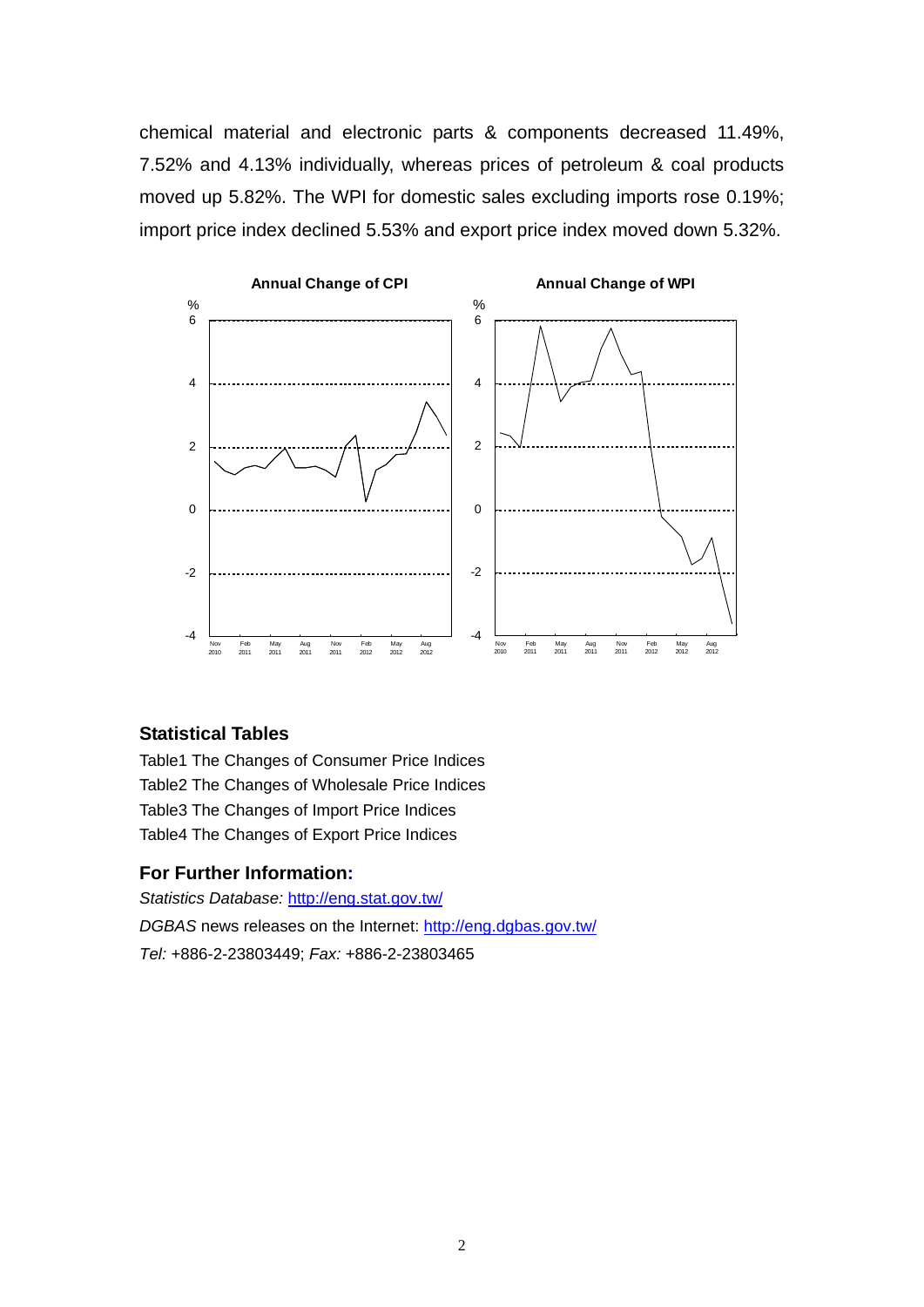chemical material and electronic parts & components decreased 11.49%, 7.52% and 4.13% individually, whereas prices of petroleum & coal products moved up 5.82%. The WPI for domestic sales excluding imports rose 0.19%; import price index declined 5.53% and export price index moved down 5.32%.



#### **Statistical Tables**

Table1 The Changes of Consumer Price Indices Table2 The Changes of Wholesale Price Indices Table3 The Changes of Import Price Indices Table4 The Changes of Export Price Indices

#### **For Further Information:**

*Statistics Database:* http://eng.stat.gov.tw/ *DGBAS* news releases on the Internet: http://eng.dgbas.gov.tw/

*Tel:* +886-2-23803449; *Fax:* +886-2-23803465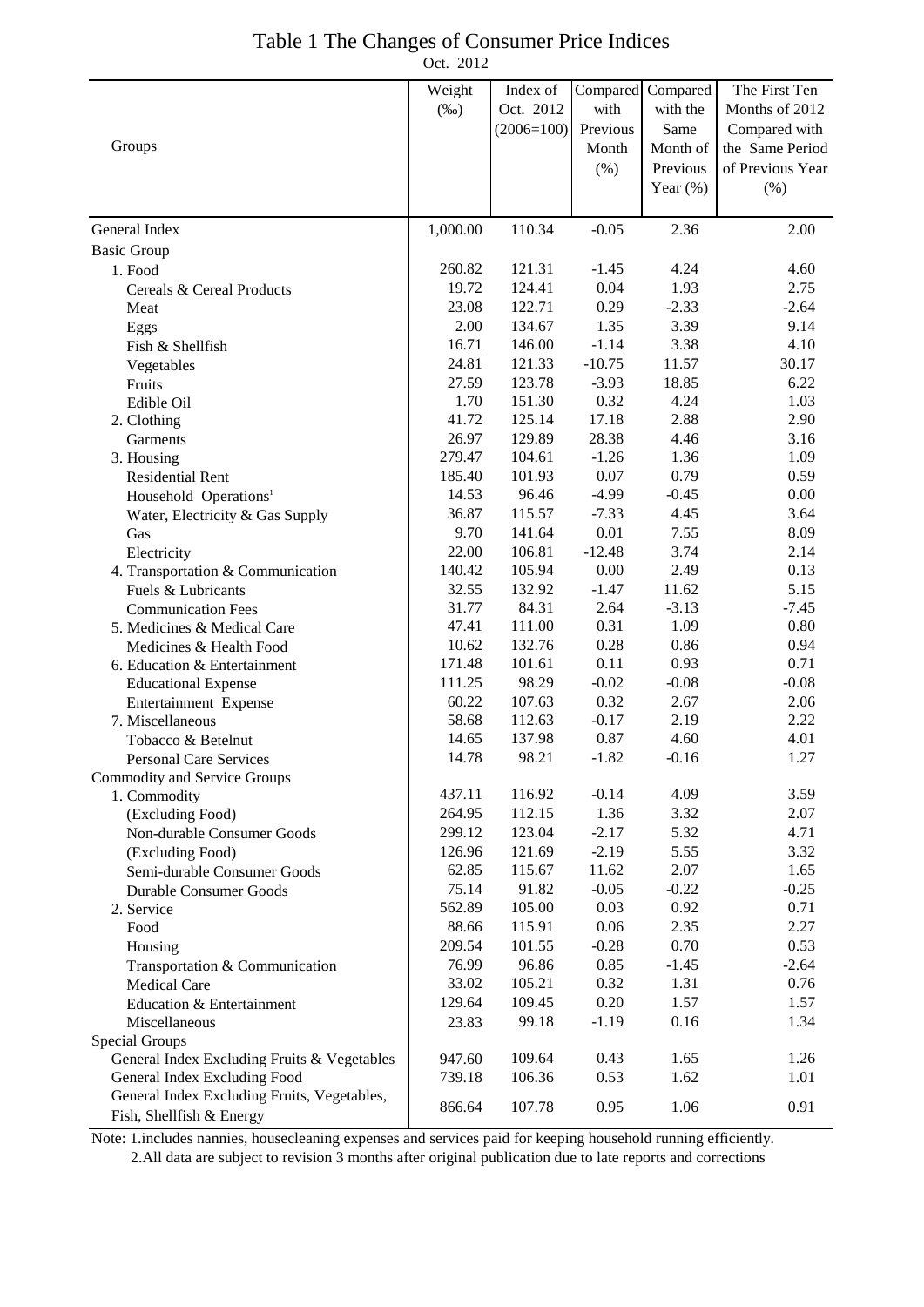| Table 1 The Changes of Consumer Price Indices |           |  |
|-----------------------------------------------|-----------|--|
|                                               | Oct. 2012 |  |

|                                                                         | Weight   | Index of     | Compared | Compared    | The First Ten    |
|-------------------------------------------------------------------------|----------|--------------|----------|-------------|------------------|
|                                                                         | $(\%0)$  | Oct. 2012    | with     | with the    | Months of 2012   |
|                                                                         |          | $(2006=100)$ | Previous | Same        | Compared with    |
| Groups                                                                  |          |              | Month    | Month of    | the Same Period  |
|                                                                         |          |              | $(\% )$  | Previous    | of Previous Year |
|                                                                         |          |              |          | Year $(\%)$ | (%)              |
|                                                                         |          |              |          |             |                  |
| General Index                                                           | 1,000.00 | 110.34       | $-0.05$  | 2.36        | 2.00             |
| <b>Basic Group</b>                                                      |          |              |          |             |                  |
| 1. Food                                                                 | 260.82   | 121.31       | $-1.45$  | 4.24        | 4.60             |
| Cereals & Cereal Products                                               | 19.72    | 124.41       | 0.04     | 1.93        | 2.75             |
| Meat                                                                    | 23.08    | 122.71       | 0.29     | $-2.33$     | $-2.64$          |
| Eggs                                                                    | 2.00     | 134.67       | 1.35     | 3.39        | 9.14             |
| Fish & Shellfish                                                        | 16.71    | 146.00       | $-1.14$  | 3.38        | 4.10             |
| Vegetables                                                              | 24.81    | 121.33       | $-10.75$ | 11.57       | 30.17            |
| Fruits                                                                  | 27.59    | 123.78       | $-3.93$  | 18.85       | 6.22             |
| Edible Oil                                                              | 1.70     | 151.30       | 0.32     | 4.24        | 1.03             |
| 2. Clothing                                                             | 41.72    | 125.14       | 17.18    | 2.88        | 2.90             |
| Garments                                                                | 26.97    | 129.89       | 28.38    | 4.46        | 3.16             |
| 3. Housing                                                              | 279.47   | 104.61       | $-1.26$  | 1.36        | 1.09             |
| <b>Residential Rent</b>                                                 | 185.40   | 101.93       | 0.07     | 0.79        | 0.59             |
| Household Operations <sup>1</sup>                                       | 14.53    | 96.46        | $-4.99$  | $-0.45$     | 0.00             |
| Water, Electricity & Gas Supply                                         | 36.87    | 115.57       | $-7.33$  | 4.45        | 3.64             |
| Gas                                                                     | 9.70     | 141.64       | 0.01     | 7.55        | 8.09             |
| Electricity                                                             | 22.00    | 106.81       | $-12.48$ | 3.74        | 2.14             |
| 4. Transportation & Communication                                       | 140.42   | 105.94       | 0.00     | 2.49        | 0.13             |
| Fuels & Lubricants                                                      | 32.55    | 132.92       | $-1.47$  | 11.62       | 5.15             |
| <b>Communication Fees</b>                                               | 31.77    | 84.31        | 2.64     | $-3.13$     | $-7.45$          |
| 5. Medicines & Medical Care                                             | 47.41    | 111.00       | 0.31     | 1.09        | 0.80             |
| Medicines & Health Food                                                 | 10.62    | 132.76       | 0.28     | 0.86        | 0.94             |
| 6. Education & Entertainment                                            | 171.48   | 101.61       | 0.11     | 0.93        | 0.71             |
| <b>Educational Expense</b>                                              | 111.25   | 98.29        | $-0.02$  | $-0.08$     | $-0.08$          |
| Entertainment Expense                                                   | 60.22    | 107.63       | 0.32     | 2.67        | 2.06             |
| 7. Miscellaneous                                                        | 58.68    | 112.63       | $-0.17$  | 2.19        | 2.22             |
| Tobacco & Betelnut                                                      | 14.65    | 137.98       | 0.87     | 4.60        | 4.01             |
| <b>Personal Care Services</b>                                           | 14.78    | 98.21        | $-1.82$  | $-0.16$     | 1.27             |
| <b>Commodity and Service Groups</b>                                     |          |              |          |             |                  |
| 1. Commodity                                                            | 437.11   | 116.92       | $-0.14$  | 4.09        | 3.59             |
| (Excluding Food)                                                        | 264.95   | 112.15       | 1.36     | 3.32        | 2.07             |
| Non-durable Consumer Goods                                              | 299.12   | 123.04       | $-2.17$  | 5.32        | 4.71             |
| (Excluding Food)                                                        | 126.96   | 121.69       | $-2.19$  | 5.55        | 3.32             |
| Semi-durable Consumer Goods                                             | 62.85    | 115.67       | 11.62    | 2.07        | 1.65             |
| <b>Durable Consumer Goods</b>                                           | 75.14    | 91.82        | $-0.05$  | $-0.22$     | $-0.25$          |
| 2. Service                                                              | 562.89   | 105.00       | 0.03     | 0.92        | 0.71             |
| Food                                                                    | 88.66    | 115.91       | 0.06     | 2.35        | 2.27             |
| Housing                                                                 | 209.54   | 101.55       | $-0.28$  | 0.70        | 0.53             |
| Transportation & Communication                                          | 76.99    | 96.86        | 0.85     | $-1.45$     | $-2.64$          |
| <b>Medical Care</b>                                                     | 33.02    | 105.21       | 0.32     | 1.31        | 0.76             |
| Education & Entertainment                                               | 129.64   | 109.45       | 0.20     | 1.57        | 1.57             |
| Miscellaneous                                                           | 23.83    | 99.18        | $-1.19$  | 0.16        | 1.34             |
| Special Groups                                                          |          |              |          |             |                  |
| General Index Excluding Fruits & Vegetables                             | 947.60   | 109.64       | 0.43     | 1.65        | 1.26             |
| General Index Excluding Food                                            | 739.18   | 106.36       | 0.53     | 1.62        | 1.01             |
| General Index Excluding Fruits, Vegetables,<br>Fish, Shellfish & Energy | 866.64   | 107.78       | 0.95     | 1.06        | 0.91             |
|                                                                         |          |              |          |             |                  |

Note: 1.includes nannies, housecleaning expenses and services paid for keeping household running efficiently.

2.All data are subject to revision 3 months after original publication due to late reports and corrections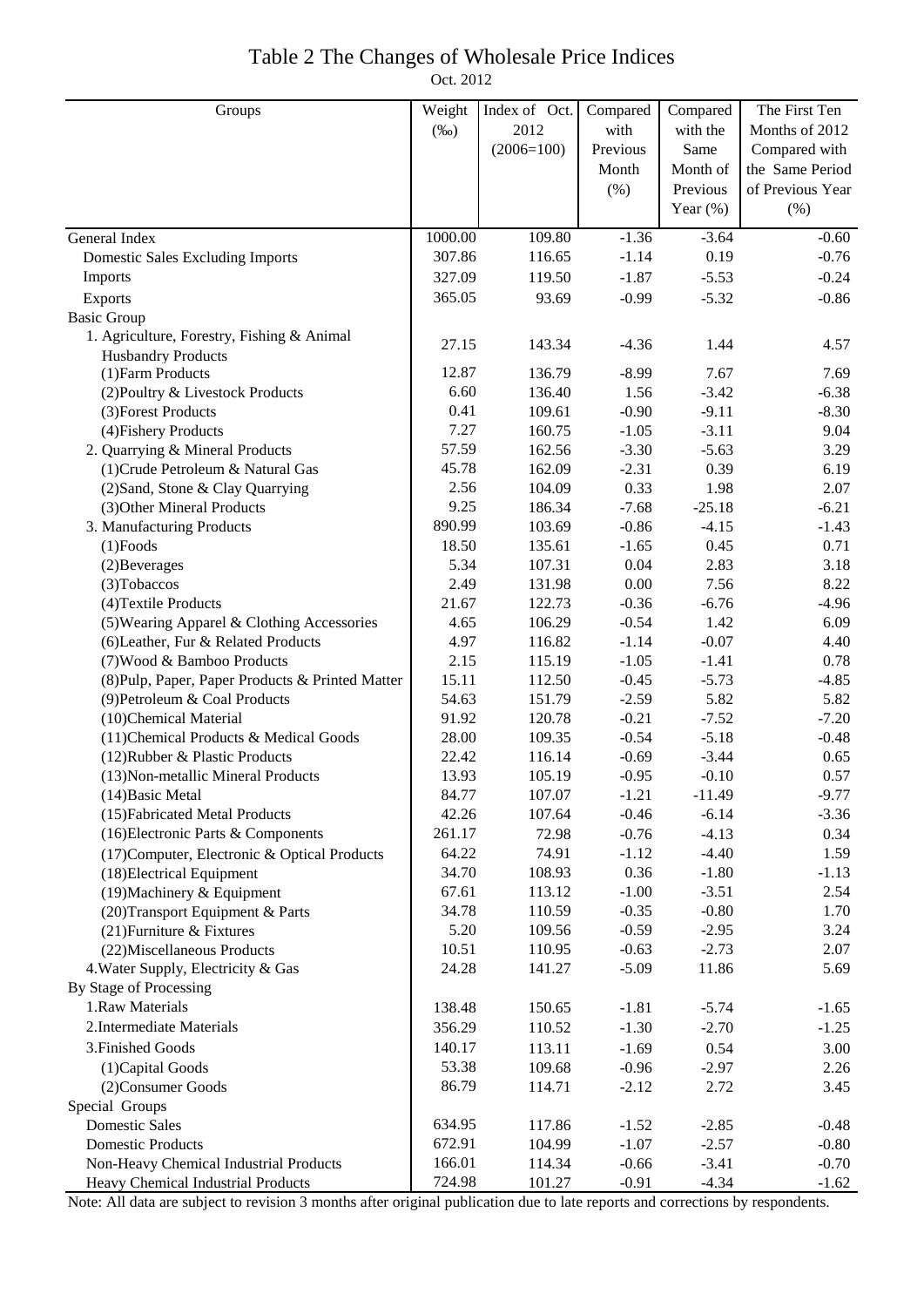# Table 2 The Changes of Wholesale Price Indices

Oct. 2012

| 2012<br>$(\%0)$<br>with<br>with the<br>Months of 2012<br>$(2006=100)$<br>Previous<br>Same<br>Compared with<br>Month of<br>the Same Period<br>Month<br>(% )<br>Previous<br>of Previous Year<br>Year $(\%)$<br>$(\% )$<br>$-1.36$<br>1000.00<br>109.80<br>$-3.64$<br>$-0.60$<br>General Index<br>307.86<br>0.19<br>$-0.76$<br>116.65<br>$-1.14$<br><b>Domestic Sales Excluding Imports</b><br>$-1.87$<br>$-0.24$<br>Imports<br>327.09<br>119.50<br>$-5.53$<br>93.69<br>$-0.99$<br>365.05<br>$-5.32$<br>$-0.86$<br>Exports<br><b>Basic Group</b><br>1. Agriculture, Forestry, Fishing & Animal<br>$-4.36$<br>27.15<br>143.34<br>1.44<br>4.57<br><b>Husbandry Products</b><br>136.79<br>$-8.99$<br>(1) Farm Products<br>12.87<br>7.67<br>7.69<br>6.60<br>136.40<br>1.56<br>$-3.42$<br>(2) Poultry & Livestock Products<br>$-6.38$<br>0.41<br>109.61<br>$-0.90$<br>$-9.11$<br>$-8.30$<br>(3) Forest Products<br>7.27<br>$-3.11$<br>(4) Fishery Products<br>160.75<br>$-1.05$<br>9.04<br>57.59<br>$-3.30$<br>$-5.63$<br>3.29<br>2. Quarrying & Mineral Products<br>162.56<br>45.78<br>162.09<br>0.39<br>(1) Crude Petroleum & Natural Gas<br>$-2.31$<br>6.19<br>2.56<br>0.33<br>1.98<br>(2) Sand, Stone & Clay Quarrying<br>104.09<br>2.07<br>9.25<br>(3) Other Mineral Products<br>186.34<br>$-7.68$<br>$-25.18$<br>$-6.21$<br>890.99<br>$-0.86$<br>$-4.15$<br>3. Manufacturing Products<br>103.69<br>$-1.43$<br>18.50<br>0.45<br>0.71<br>$(1)$ Foods<br>135.61<br>$-1.65$<br>5.34<br>0.04<br>2.83<br>(2) Beverages<br>107.31<br>3.18<br>2.49<br>0.00<br>7.56<br>8.22<br>(3) Tobaccos<br>131.98<br>21.67<br>$-0.36$<br>$-6.76$<br>$-4.96$<br>122.73<br>(4) Textile Products<br>4.65<br>$-0.54$<br>1.42<br>(5) Wearing Apparel & Clothing Accessories<br>106.29<br>6.09<br>4.97<br>$-1.14$<br>(6) Leather, Fur & Related Products<br>116.82<br>$-0.07$<br>4.40<br>$-1.05$<br>2.15<br>115.19<br>$-1.41$<br>0.78<br>(7) Wood & Bamboo Products<br>15.11<br>$-0.45$<br>$-5.73$<br>$-4.85$<br>(8) Pulp, Paper, Paper Products & Printed Matter<br>112.50<br>5.82<br>5.82<br>54.63<br>$-2.59$<br>(9) Petroleum & Coal Products<br>151.79<br>$-0.21$<br>91.92<br>120.78<br>$-7.52$<br>$-7.20$<br>(10)Chemical Material<br>$-0.54$<br>$-5.18$<br>28.00<br>109.35<br>$-0.48$<br>(11) Chemical Products & Medical Goods<br>22.42<br>$-0.69$<br>$-3.44$<br>116.14<br>0.65<br>(12) Rubber & Plastic Products<br>13.93<br>$-0.10$<br>105.19<br>$-0.95$<br>0.57<br>(13) Non-metallic Mineral Products<br>84.77<br>107.07<br>$-1.21$<br>$-11.49$<br>$-9.77$<br>$(14)$ Basic Metal<br>(15) Fabricated Metal Products<br>42.26<br>107.64<br>$-0.46$<br>$-6.14$<br>$-3.36$<br>(16) Electronic Parts & Components<br>72.98<br>$-0.76$<br>$-4.13$<br>261.17<br>0.34<br>$-4.40$<br>(17) Computer, Electronic & Optical Products<br>64.22<br>74.91<br>$-1.12$<br>1.59<br>0.36<br>(18) Electrical Equipment<br>34.70<br>108.93<br>$-1.80$<br>$-1.13$<br>(19) Machinery & Equipment<br>113.12<br>$-1.00$<br>$-3.51$<br>2.54<br>67.61<br>$-0.35$<br>$-0.80$<br>(20) Transport Equipment & Parts<br>34.78<br>110.59<br>1.70<br>(21) Furniture & Fixtures<br>5.20<br>$-0.59$<br>$-2.95$<br>3.24<br>109.56<br>(22) Miscellaneous Products<br>110.95<br>$-0.63$<br>$-2.73$<br>2.07<br>10.51<br>4. Water Supply, Electricity & Gas<br>$-5.09$<br>11.86<br>5.69<br>24.28<br>141.27<br>By Stage of Processing<br>1.Raw Materials<br>138.48<br>$-1.81$<br>150.65<br>$-5.74$<br>$-1.65$<br>2. Intermediate Materials<br>356.29<br>110.52<br>$-1.30$<br>$-2.70$<br>$-1.25$<br>3. Finished Goods<br>140.17<br>113.11<br>$-1.69$<br>0.54<br>3.00<br>53.38<br>109.68<br>$-0.96$<br>$-2.97$<br>2.26<br>(1) Capital Goods<br>86.79<br>$-2.12$<br>2.72<br>3.45<br>(2) Consumer Goods<br>114.71<br>Special Groups<br><b>Domestic Sales</b><br>634.95<br>117.86<br>$-1.52$<br>$-2.85$<br>$-0.48$<br>$-1.07$<br>$-2.57$<br><b>Domestic Products</b><br>672.91<br>104.99<br>$-0.80$<br>$-3.41$<br>166.01<br>$-0.66$<br>$-0.70$<br>Non-Heavy Chemical Industrial Products<br>114.34<br>Heavy Chemical Industrial Products<br>724.98<br>$-0.91$<br>$-4.34$<br>101.27<br>$-1.62$ | Groups | Weight | Index of Oct. | Compared | Compared | The First Ten |
|-----------------------------------------------------------------------------------------------------------------------------------------------------------------------------------------------------------------------------------------------------------------------------------------------------------------------------------------------------------------------------------------------------------------------------------------------------------------------------------------------------------------------------------------------------------------------------------------------------------------------------------------------------------------------------------------------------------------------------------------------------------------------------------------------------------------------------------------------------------------------------------------------------------------------------------------------------------------------------------------------------------------------------------------------------------------------------------------------------------------------------------------------------------------------------------------------------------------------------------------------------------------------------------------------------------------------------------------------------------------------------------------------------------------------------------------------------------------------------------------------------------------------------------------------------------------------------------------------------------------------------------------------------------------------------------------------------------------------------------------------------------------------------------------------------------------------------------------------------------------------------------------------------------------------------------------------------------------------------------------------------------------------------------------------------------------------------------------------------------------------------------------------------------------------------------------------------------------------------------------------------------------------------------------------------------------------------------------------------------------------------------------------------------------------------------------------------------------------------------------------------------------------------------------------------------------------------------------------------------------------------------------------------------------------------------------------------------------------------------------------------------------------------------------------------------------------------------------------------------------------------------------------------------------------------------------------------------------------------------------------------------------------------------------------------------------------------------------------------------------------------------------------------------------------------------------------------------------------------------------------------------------------------------------------------------------------------------------------------------------------------------------------------------------------------------------------------------------------------------------------------------------------------------------------------------------------------------------------------------------------------------------------------------------------------------------------------------------------------------------------------------------------------------------------------------------------------------------------------------------------------------------------------------------------------------------------------------------------------------------------------------------------------------------------------------------------------------------------------------------------------|--------|--------|---------------|----------|----------|---------------|
|                                                                                                                                                                                                                                                                                                                                                                                                                                                                                                                                                                                                                                                                                                                                                                                                                                                                                                                                                                                                                                                                                                                                                                                                                                                                                                                                                                                                                                                                                                                                                                                                                                                                                                                                                                                                                                                                                                                                                                                                                                                                                                                                                                                                                                                                                                                                                                                                                                                                                                                                                                                                                                                                                                                                                                                                                                                                                                                                                                                                                                                                                                                                                                                                                                                                                                                                                                                                                                                                                                                                                                                                                                                                                                                                                                                                                                                                                                                                                                                                                                                                                                                             |        |        |               |          |          |               |
|                                                                                                                                                                                                                                                                                                                                                                                                                                                                                                                                                                                                                                                                                                                                                                                                                                                                                                                                                                                                                                                                                                                                                                                                                                                                                                                                                                                                                                                                                                                                                                                                                                                                                                                                                                                                                                                                                                                                                                                                                                                                                                                                                                                                                                                                                                                                                                                                                                                                                                                                                                                                                                                                                                                                                                                                                                                                                                                                                                                                                                                                                                                                                                                                                                                                                                                                                                                                                                                                                                                                                                                                                                                                                                                                                                                                                                                                                                                                                                                                                                                                                                                             |        |        |               |          |          |               |
|                                                                                                                                                                                                                                                                                                                                                                                                                                                                                                                                                                                                                                                                                                                                                                                                                                                                                                                                                                                                                                                                                                                                                                                                                                                                                                                                                                                                                                                                                                                                                                                                                                                                                                                                                                                                                                                                                                                                                                                                                                                                                                                                                                                                                                                                                                                                                                                                                                                                                                                                                                                                                                                                                                                                                                                                                                                                                                                                                                                                                                                                                                                                                                                                                                                                                                                                                                                                                                                                                                                                                                                                                                                                                                                                                                                                                                                                                                                                                                                                                                                                                                                             |        |        |               |          |          |               |
|                                                                                                                                                                                                                                                                                                                                                                                                                                                                                                                                                                                                                                                                                                                                                                                                                                                                                                                                                                                                                                                                                                                                                                                                                                                                                                                                                                                                                                                                                                                                                                                                                                                                                                                                                                                                                                                                                                                                                                                                                                                                                                                                                                                                                                                                                                                                                                                                                                                                                                                                                                                                                                                                                                                                                                                                                                                                                                                                                                                                                                                                                                                                                                                                                                                                                                                                                                                                                                                                                                                                                                                                                                                                                                                                                                                                                                                                                                                                                                                                                                                                                                                             |        |        |               |          |          |               |
|                                                                                                                                                                                                                                                                                                                                                                                                                                                                                                                                                                                                                                                                                                                                                                                                                                                                                                                                                                                                                                                                                                                                                                                                                                                                                                                                                                                                                                                                                                                                                                                                                                                                                                                                                                                                                                                                                                                                                                                                                                                                                                                                                                                                                                                                                                                                                                                                                                                                                                                                                                                                                                                                                                                                                                                                                                                                                                                                                                                                                                                                                                                                                                                                                                                                                                                                                                                                                                                                                                                                                                                                                                                                                                                                                                                                                                                                                                                                                                                                                                                                                                                             |        |        |               |          |          |               |
|                                                                                                                                                                                                                                                                                                                                                                                                                                                                                                                                                                                                                                                                                                                                                                                                                                                                                                                                                                                                                                                                                                                                                                                                                                                                                                                                                                                                                                                                                                                                                                                                                                                                                                                                                                                                                                                                                                                                                                                                                                                                                                                                                                                                                                                                                                                                                                                                                                                                                                                                                                                                                                                                                                                                                                                                                                                                                                                                                                                                                                                                                                                                                                                                                                                                                                                                                                                                                                                                                                                                                                                                                                                                                                                                                                                                                                                                                                                                                                                                                                                                                                                             |        |        |               |          |          |               |
|                                                                                                                                                                                                                                                                                                                                                                                                                                                                                                                                                                                                                                                                                                                                                                                                                                                                                                                                                                                                                                                                                                                                                                                                                                                                                                                                                                                                                                                                                                                                                                                                                                                                                                                                                                                                                                                                                                                                                                                                                                                                                                                                                                                                                                                                                                                                                                                                                                                                                                                                                                                                                                                                                                                                                                                                                                                                                                                                                                                                                                                                                                                                                                                                                                                                                                                                                                                                                                                                                                                                                                                                                                                                                                                                                                                                                                                                                                                                                                                                                                                                                                                             |        |        |               |          |          |               |
|                                                                                                                                                                                                                                                                                                                                                                                                                                                                                                                                                                                                                                                                                                                                                                                                                                                                                                                                                                                                                                                                                                                                                                                                                                                                                                                                                                                                                                                                                                                                                                                                                                                                                                                                                                                                                                                                                                                                                                                                                                                                                                                                                                                                                                                                                                                                                                                                                                                                                                                                                                                                                                                                                                                                                                                                                                                                                                                                                                                                                                                                                                                                                                                                                                                                                                                                                                                                                                                                                                                                                                                                                                                                                                                                                                                                                                                                                                                                                                                                                                                                                                                             |        |        |               |          |          |               |
|                                                                                                                                                                                                                                                                                                                                                                                                                                                                                                                                                                                                                                                                                                                                                                                                                                                                                                                                                                                                                                                                                                                                                                                                                                                                                                                                                                                                                                                                                                                                                                                                                                                                                                                                                                                                                                                                                                                                                                                                                                                                                                                                                                                                                                                                                                                                                                                                                                                                                                                                                                                                                                                                                                                                                                                                                                                                                                                                                                                                                                                                                                                                                                                                                                                                                                                                                                                                                                                                                                                                                                                                                                                                                                                                                                                                                                                                                                                                                                                                                                                                                                                             |        |        |               |          |          |               |
|                                                                                                                                                                                                                                                                                                                                                                                                                                                                                                                                                                                                                                                                                                                                                                                                                                                                                                                                                                                                                                                                                                                                                                                                                                                                                                                                                                                                                                                                                                                                                                                                                                                                                                                                                                                                                                                                                                                                                                                                                                                                                                                                                                                                                                                                                                                                                                                                                                                                                                                                                                                                                                                                                                                                                                                                                                                                                                                                                                                                                                                                                                                                                                                                                                                                                                                                                                                                                                                                                                                                                                                                                                                                                                                                                                                                                                                                                                                                                                                                                                                                                                                             |        |        |               |          |          |               |
|                                                                                                                                                                                                                                                                                                                                                                                                                                                                                                                                                                                                                                                                                                                                                                                                                                                                                                                                                                                                                                                                                                                                                                                                                                                                                                                                                                                                                                                                                                                                                                                                                                                                                                                                                                                                                                                                                                                                                                                                                                                                                                                                                                                                                                                                                                                                                                                                                                                                                                                                                                                                                                                                                                                                                                                                                                                                                                                                                                                                                                                                                                                                                                                                                                                                                                                                                                                                                                                                                                                                                                                                                                                                                                                                                                                                                                                                                                                                                                                                                                                                                                                             |        |        |               |          |          |               |
|                                                                                                                                                                                                                                                                                                                                                                                                                                                                                                                                                                                                                                                                                                                                                                                                                                                                                                                                                                                                                                                                                                                                                                                                                                                                                                                                                                                                                                                                                                                                                                                                                                                                                                                                                                                                                                                                                                                                                                                                                                                                                                                                                                                                                                                                                                                                                                                                                                                                                                                                                                                                                                                                                                                                                                                                                                                                                                                                                                                                                                                                                                                                                                                                                                                                                                                                                                                                                                                                                                                                                                                                                                                                                                                                                                                                                                                                                                                                                                                                                                                                                                                             |        |        |               |          |          |               |
|                                                                                                                                                                                                                                                                                                                                                                                                                                                                                                                                                                                                                                                                                                                                                                                                                                                                                                                                                                                                                                                                                                                                                                                                                                                                                                                                                                                                                                                                                                                                                                                                                                                                                                                                                                                                                                                                                                                                                                                                                                                                                                                                                                                                                                                                                                                                                                                                                                                                                                                                                                                                                                                                                                                                                                                                                                                                                                                                                                                                                                                                                                                                                                                                                                                                                                                                                                                                                                                                                                                                                                                                                                                                                                                                                                                                                                                                                                                                                                                                                                                                                                                             |        |        |               |          |          |               |
|                                                                                                                                                                                                                                                                                                                                                                                                                                                                                                                                                                                                                                                                                                                                                                                                                                                                                                                                                                                                                                                                                                                                                                                                                                                                                                                                                                                                                                                                                                                                                                                                                                                                                                                                                                                                                                                                                                                                                                                                                                                                                                                                                                                                                                                                                                                                                                                                                                                                                                                                                                                                                                                                                                                                                                                                                                                                                                                                                                                                                                                                                                                                                                                                                                                                                                                                                                                                                                                                                                                                                                                                                                                                                                                                                                                                                                                                                                                                                                                                                                                                                                                             |        |        |               |          |          |               |
|                                                                                                                                                                                                                                                                                                                                                                                                                                                                                                                                                                                                                                                                                                                                                                                                                                                                                                                                                                                                                                                                                                                                                                                                                                                                                                                                                                                                                                                                                                                                                                                                                                                                                                                                                                                                                                                                                                                                                                                                                                                                                                                                                                                                                                                                                                                                                                                                                                                                                                                                                                                                                                                                                                                                                                                                                                                                                                                                                                                                                                                                                                                                                                                                                                                                                                                                                                                                                                                                                                                                                                                                                                                                                                                                                                                                                                                                                                                                                                                                                                                                                                                             |        |        |               |          |          |               |
|                                                                                                                                                                                                                                                                                                                                                                                                                                                                                                                                                                                                                                                                                                                                                                                                                                                                                                                                                                                                                                                                                                                                                                                                                                                                                                                                                                                                                                                                                                                                                                                                                                                                                                                                                                                                                                                                                                                                                                                                                                                                                                                                                                                                                                                                                                                                                                                                                                                                                                                                                                                                                                                                                                                                                                                                                                                                                                                                                                                                                                                                                                                                                                                                                                                                                                                                                                                                                                                                                                                                                                                                                                                                                                                                                                                                                                                                                                                                                                                                                                                                                                                             |        |        |               |          |          |               |
|                                                                                                                                                                                                                                                                                                                                                                                                                                                                                                                                                                                                                                                                                                                                                                                                                                                                                                                                                                                                                                                                                                                                                                                                                                                                                                                                                                                                                                                                                                                                                                                                                                                                                                                                                                                                                                                                                                                                                                                                                                                                                                                                                                                                                                                                                                                                                                                                                                                                                                                                                                                                                                                                                                                                                                                                                                                                                                                                                                                                                                                                                                                                                                                                                                                                                                                                                                                                                                                                                                                                                                                                                                                                                                                                                                                                                                                                                                                                                                                                                                                                                                                             |        |        |               |          |          |               |
|                                                                                                                                                                                                                                                                                                                                                                                                                                                                                                                                                                                                                                                                                                                                                                                                                                                                                                                                                                                                                                                                                                                                                                                                                                                                                                                                                                                                                                                                                                                                                                                                                                                                                                                                                                                                                                                                                                                                                                                                                                                                                                                                                                                                                                                                                                                                                                                                                                                                                                                                                                                                                                                                                                                                                                                                                                                                                                                                                                                                                                                                                                                                                                                                                                                                                                                                                                                                                                                                                                                                                                                                                                                                                                                                                                                                                                                                                                                                                                                                                                                                                                                             |        |        |               |          |          |               |
|                                                                                                                                                                                                                                                                                                                                                                                                                                                                                                                                                                                                                                                                                                                                                                                                                                                                                                                                                                                                                                                                                                                                                                                                                                                                                                                                                                                                                                                                                                                                                                                                                                                                                                                                                                                                                                                                                                                                                                                                                                                                                                                                                                                                                                                                                                                                                                                                                                                                                                                                                                                                                                                                                                                                                                                                                                                                                                                                                                                                                                                                                                                                                                                                                                                                                                                                                                                                                                                                                                                                                                                                                                                                                                                                                                                                                                                                                                                                                                                                                                                                                                                             |        |        |               |          |          |               |
|                                                                                                                                                                                                                                                                                                                                                                                                                                                                                                                                                                                                                                                                                                                                                                                                                                                                                                                                                                                                                                                                                                                                                                                                                                                                                                                                                                                                                                                                                                                                                                                                                                                                                                                                                                                                                                                                                                                                                                                                                                                                                                                                                                                                                                                                                                                                                                                                                                                                                                                                                                                                                                                                                                                                                                                                                                                                                                                                                                                                                                                                                                                                                                                                                                                                                                                                                                                                                                                                                                                                                                                                                                                                                                                                                                                                                                                                                                                                                                                                                                                                                                                             |        |        |               |          |          |               |
|                                                                                                                                                                                                                                                                                                                                                                                                                                                                                                                                                                                                                                                                                                                                                                                                                                                                                                                                                                                                                                                                                                                                                                                                                                                                                                                                                                                                                                                                                                                                                                                                                                                                                                                                                                                                                                                                                                                                                                                                                                                                                                                                                                                                                                                                                                                                                                                                                                                                                                                                                                                                                                                                                                                                                                                                                                                                                                                                                                                                                                                                                                                                                                                                                                                                                                                                                                                                                                                                                                                                                                                                                                                                                                                                                                                                                                                                                                                                                                                                                                                                                                                             |        |        |               |          |          |               |
|                                                                                                                                                                                                                                                                                                                                                                                                                                                                                                                                                                                                                                                                                                                                                                                                                                                                                                                                                                                                                                                                                                                                                                                                                                                                                                                                                                                                                                                                                                                                                                                                                                                                                                                                                                                                                                                                                                                                                                                                                                                                                                                                                                                                                                                                                                                                                                                                                                                                                                                                                                                                                                                                                                                                                                                                                                                                                                                                                                                                                                                                                                                                                                                                                                                                                                                                                                                                                                                                                                                                                                                                                                                                                                                                                                                                                                                                                                                                                                                                                                                                                                                             |        |        |               |          |          |               |
|                                                                                                                                                                                                                                                                                                                                                                                                                                                                                                                                                                                                                                                                                                                                                                                                                                                                                                                                                                                                                                                                                                                                                                                                                                                                                                                                                                                                                                                                                                                                                                                                                                                                                                                                                                                                                                                                                                                                                                                                                                                                                                                                                                                                                                                                                                                                                                                                                                                                                                                                                                                                                                                                                                                                                                                                                                                                                                                                                                                                                                                                                                                                                                                                                                                                                                                                                                                                                                                                                                                                                                                                                                                                                                                                                                                                                                                                                                                                                                                                                                                                                                                             |        |        |               |          |          |               |
|                                                                                                                                                                                                                                                                                                                                                                                                                                                                                                                                                                                                                                                                                                                                                                                                                                                                                                                                                                                                                                                                                                                                                                                                                                                                                                                                                                                                                                                                                                                                                                                                                                                                                                                                                                                                                                                                                                                                                                                                                                                                                                                                                                                                                                                                                                                                                                                                                                                                                                                                                                                                                                                                                                                                                                                                                                                                                                                                                                                                                                                                                                                                                                                                                                                                                                                                                                                                                                                                                                                                                                                                                                                                                                                                                                                                                                                                                                                                                                                                                                                                                                                             |        |        |               |          |          |               |
|                                                                                                                                                                                                                                                                                                                                                                                                                                                                                                                                                                                                                                                                                                                                                                                                                                                                                                                                                                                                                                                                                                                                                                                                                                                                                                                                                                                                                                                                                                                                                                                                                                                                                                                                                                                                                                                                                                                                                                                                                                                                                                                                                                                                                                                                                                                                                                                                                                                                                                                                                                                                                                                                                                                                                                                                                                                                                                                                                                                                                                                                                                                                                                                                                                                                                                                                                                                                                                                                                                                                                                                                                                                                                                                                                                                                                                                                                                                                                                                                                                                                                                                             |        |        |               |          |          |               |
|                                                                                                                                                                                                                                                                                                                                                                                                                                                                                                                                                                                                                                                                                                                                                                                                                                                                                                                                                                                                                                                                                                                                                                                                                                                                                                                                                                                                                                                                                                                                                                                                                                                                                                                                                                                                                                                                                                                                                                                                                                                                                                                                                                                                                                                                                                                                                                                                                                                                                                                                                                                                                                                                                                                                                                                                                                                                                                                                                                                                                                                                                                                                                                                                                                                                                                                                                                                                                                                                                                                                                                                                                                                                                                                                                                                                                                                                                                                                                                                                                                                                                                                             |        |        |               |          |          |               |
|                                                                                                                                                                                                                                                                                                                                                                                                                                                                                                                                                                                                                                                                                                                                                                                                                                                                                                                                                                                                                                                                                                                                                                                                                                                                                                                                                                                                                                                                                                                                                                                                                                                                                                                                                                                                                                                                                                                                                                                                                                                                                                                                                                                                                                                                                                                                                                                                                                                                                                                                                                                                                                                                                                                                                                                                                                                                                                                                                                                                                                                                                                                                                                                                                                                                                                                                                                                                                                                                                                                                                                                                                                                                                                                                                                                                                                                                                                                                                                                                                                                                                                                             |        |        |               |          |          |               |
|                                                                                                                                                                                                                                                                                                                                                                                                                                                                                                                                                                                                                                                                                                                                                                                                                                                                                                                                                                                                                                                                                                                                                                                                                                                                                                                                                                                                                                                                                                                                                                                                                                                                                                                                                                                                                                                                                                                                                                                                                                                                                                                                                                                                                                                                                                                                                                                                                                                                                                                                                                                                                                                                                                                                                                                                                                                                                                                                                                                                                                                                                                                                                                                                                                                                                                                                                                                                                                                                                                                                                                                                                                                                                                                                                                                                                                                                                                                                                                                                                                                                                                                             |        |        |               |          |          |               |
|                                                                                                                                                                                                                                                                                                                                                                                                                                                                                                                                                                                                                                                                                                                                                                                                                                                                                                                                                                                                                                                                                                                                                                                                                                                                                                                                                                                                                                                                                                                                                                                                                                                                                                                                                                                                                                                                                                                                                                                                                                                                                                                                                                                                                                                                                                                                                                                                                                                                                                                                                                                                                                                                                                                                                                                                                                                                                                                                                                                                                                                                                                                                                                                                                                                                                                                                                                                                                                                                                                                                                                                                                                                                                                                                                                                                                                                                                                                                                                                                                                                                                                                             |        |        |               |          |          |               |
|                                                                                                                                                                                                                                                                                                                                                                                                                                                                                                                                                                                                                                                                                                                                                                                                                                                                                                                                                                                                                                                                                                                                                                                                                                                                                                                                                                                                                                                                                                                                                                                                                                                                                                                                                                                                                                                                                                                                                                                                                                                                                                                                                                                                                                                                                                                                                                                                                                                                                                                                                                                                                                                                                                                                                                                                                                                                                                                                                                                                                                                                                                                                                                                                                                                                                                                                                                                                                                                                                                                                                                                                                                                                                                                                                                                                                                                                                                                                                                                                                                                                                                                             |        |        |               |          |          |               |
|                                                                                                                                                                                                                                                                                                                                                                                                                                                                                                                                                                                                                                                                                                                                                                                                                                                                                                                                                                                                                                                                                                                                                                                                                                                                                                                                                                                                                                                                                                                                                                                                                                                                                                                                                                                                                                                                                                                                                                                                                                                                                                                                                                                                                                                                                                                                                                                                                                                                                                                                                                                                                                                                                                                                                                                                                                                                                                                                                                                                                                                                                                                                                                                                                                                                                                                                                                                                                                                                                                                                                                                                                                                                                                                                                                                                                                                                                                                                                                                                                                                                                                                             |        |        |               |          |          |               |
|                                                                                                                                                                                                                                                                                                                                                                                                                                                                                                                                                                                                                                                                                                                                                                                                                                                                                                                                                                                                                                                                                                                                                                                                                                                                                                                                                                                                                                                                                                                                                                                                                                                                                                                                                                                                                                                                                                                                                                                                                                                                                                                                                                                                                                                                                                                                                                                                                                                                                                                                                                                                                                                                                                                                                                                                                                                                                                                                                                                                                                                                                                                                                                                                                                                                                                                                                                                                                                                                                                                                                                                                                                                                                                                                                                                                                                                                                                                                                                                                                                                                                                                             |        |        |               |          |          |               |
|                                                                                                                                                                                                                                                                                                                                                                                                                                                                                                                                                                                                                                                                                                                                                                                                                                                                                                                                                                                                                                                                                                                                                                                                                                                                                                                                                                                                                                                                                                                                                                                                                                                                                                                                                                                                                                                                                                                                                                                                                                                                                                                                                                                                                                                                                                                                                                                                                                                                                                                                                                                                                                                                                                                                                                                                                                                                                                                                                                                                                                                                                                                                                                                                                                                                                                                                                                                                                                                                                                                                                                                                                                                                                                                                                                                                                                                                                                                                                                                                                                                                                                                             |        |        |               |          |          |               |
|                                                                                                                                                                                                                                                                                                                                                                                                                                                                                                                                                                                                                                                                                                                                                                                                                                                                                                                                                                                                                                                                                                                                                                                                                                                                                                                                                                                                                                                                                                                                                                                                                                                                                                                                                                                                                                                                                                                                                                                                                                                                                                                                                                                                                                                                                                                                                                                                                                                                                                                                                                                                                                                                                                                                                                                                                                                                                                                                                                                                                                                                                                                                                                                                                                                                                                                                                                                                                                                                                                                                                                                                                                                                                                                                                                                                                                                                                                                                                                                                                                                                                                                             |        |        |               |          |          |               |
|                                                                                                                                                                                                                                                                                                                                                                                                                                                                                                                                                                                                                                                                                                                                                                                                                                                                                                                                                                                                                                                                                                                                                                                                                                                                                                                                                                                                                                                                                                                                                                                                                                                                                                                                                                                                                                                                                                                                                                                                                                                                                                                                                                                                                                                                                                                                                                                                                                                                                                                                                                                                                                                                                                                                                                                                                                                                                                                                                                                                                                                                                                                                                                                                                                                                                                                                                                                                                                                                                                                                                                                                                                                                                                                                                                                                                                                                                                                                                                                                                                                                                                                             |        |        |               |          |          |               |
|                                                                                                                                                                                                                                                                                                                                                                                                                                                                                                                                                                                                                                                                                                                                                                                                                                                                                                                                                                                                                                                                                                                                                                                                                                                                                                                                                                                                                                                                                                                                                                                                                                                                                                                                                                                                                                                                                                                                                                                                                                                                                                                                                                                                                                                                                                                                                                                                                                                                                                                                                                                                                                                                                                                                                                                                                                                                                                                                                                                                                                                                                                                                                                                                                                                                                                                                                                                                                                                                                                                                                                                                                                                                                                                                                                                                                                                                                                                                                                                                                                                                                                                             |        |        |               |          |          |               |
|                                                                                                                                                                                                                                                                                                                                                                                                                                                                                                                                                                                                                                                                                                                                                                                                                                                                                                                                                                                                                                                                                                                                                                                                                                                                                                                                                                                                                                                                                                                                                                                                                                                                                                                                                                                                                                                                                                                                                                                                                                                                                                                                                                                                                                                                                                                                                                                                                                                                                                                                                                                                                                                                                                                                                                                                                                                                                                                                                                                                                                                                                                                                                                                                                                                                                                                                                                                                                                                                                                                                                                                                                                                                                                                                                                                                                                                                                                                                                                                                                                                                                                                             |        |        |               |          |          |               |
|                                                                                                                                                                                                                                                                                                                                                                                                                                                                                                                                                                                                                                                                                                                                                                                                                                                                                                                                                                                                                                                                                                                                                                                                                                                                                                                                                                                                                                                                                                                                                                                                                                                                                                                                                                                                                                                                                                                                                                                                                                                                                                                                                                                                                                                                                                                                                                                                                                                                                                                                                                                                                                                                                                                                                                                                                                                                                                                                                                                                                                                                                                                                                                                                                                                                                                                                                                                                                                                                                                                                                                                                                                                                                                                                                                                                                                                                                                                                                                                                                                                                                                                             |        |        |               |          |          |               |
|                                                                                                                                                                                                                                                                                                                                                                                                                                                                                                                                                                                                                                                                                                                                                                                                                                                                                                                                                                                                                                                                                                                                                                                                                                                                                                                                                                                                                                                                                                                                                                                                                                                                                                                                                                                                                                                                                                                                                                                                                                                                                                                                                                                                                                                                                                                                                                                                                                                                                                                                                                                                                                                                                                                                                                                                                                                                                                                                                                                                                                                                                                                                                                                                                                                                                                                                                                                                                                                                                                                                                                                                                                                                                                                                                                                                                                                                                                                                                                                                                                                                                                                             |        |        |               |          |          |               |
|                                                                                                                                                                                                                                                                                                                                                                                                                                                                                                                                                                                                                                                                                                                                                                                                                                                                                                                                                                                                                                                                                                                                                                                                                                                                                                                                                                                                                                                                                                                                                                                                                                                                                                                                                                                                                                                                                                                                                                                                                                                                                                                                                                                                                                                                                                                                                                                                                                                                                                                                                                                                                                                                                                                                                                                                                                                                                                                                                                                                                                                                                                                                                                                                                                                                                                                                                                                                                                                                                                                                                                                                                                                                                                                                                                                                                                                                                                                                                                                                                                                                                                                             |        |        |               |          |          |               |
|                                                                                                                                                                                                                                                                                                                                                                                                                                                                                                                                                                                                                                                                                                                                                                                                                                                                                                                                                                                                                                                                                                                                                                                                                                                                                                                                                                                                                                                                                                                                                                                                                                                                                                                                                                                                                                                                                                                                                                                                                                                                                                                                                                                                                                                                                                                                                                                                                                                                                                                                                                                                                                                                                                                                                                                                                                                                                                                                                                                                                                                                                                                                                                                                                                                                                                                                                                                                                                                                                                                                                                                                                                                                                                                                                                                                                                                                                                                                                                                                                                                                                                                             |        |        |               |          |          |               |
|                                                                                                                                                                                                                                                                                                                                                                                                                                                                                                                                                                                                                                                                                                                                                                                                                                                                                                                                                                                                                                                                                                                                                                                                                                                                                                                                                                                                                                                                                                                                                                                                                                                                                                                                                                                                                                                                                                                                                                                                                                                                                                                                                                                                                                                                                                                                                                                                                                                                                                                                                                                                                                                                                                                                                                                                                                                                                                                                                                                                                                                                                                                                                                                                                                                                                                                                                                                                                                                                                                                                                                                                                                                                                                                                                                                                                                                                                                                                                                                                                                                                                                                             |        |        |               |          |          |               |
|                                                                                                                                                                                                                                                                                                                                                                                                                                                                                                                                                                                                                                                                                                                                                                                                                                                                                                                                                                                                                                                                                                                                                                                                                                                                                                                                                                                                                                                                                                                                                                                                                                                                                                                                                                                                                                                                                                                                                                                                                                                                                                                                                                                                                                                                                                                                                                                                                                                                                                                                                                                                                                                                                                                                                                                                                                                                                                                                                                                                                                                                                                                                                                                                                                                                                                                                                                                                                                                                                                                                                                                                                                                                                                                                                                                                                                                                                                                                                                                                                                                                                                                             |        |        |               |          |          |               |
|                                                                                                                                                                                                                                                                                                                                                                                                                                                                                                                                                                                                                                                                                                                                                                                                                                                                                                                                                                                                                                                                                                                                                                                                                                                                                                                                                                                                                                                                                                                                                                                                                                                                                                                                                                                                                                                                                                                                                                                                                                                                                                                                                                                                                                                                                                                                                                                                                                                                                                                                                                                                                                                                                                                                                                                                                                                                                                                                                                                                                                                                                                                                                                                                                                                                                                                                                                                                                                                                                                                                                                                                                                                                                                                                                                                                                                                                                                                                                                                                                                                                                                                             |        |        |               |          |          |               |
|                                                                                                                                                                                                                                                                                                                                                                                                                                                                                                                                                                                                                                                                                                                                                                                                                                                                                                                                                                                                                                                                                                                                                                                                                                                                                                                                                                                                                                                                                                                                                                                                                                                                                                                                                                                                                                                                                                                                                                                                                                                                                                                                                                                                                                                                                                                                                                                                                                                                                                                                                                                                                                                                                                                                                                                                                                                                                                                                                                                                                                                                                                                                                                                                                                                                                                                                                                                                                                                                                                                                                                                                                                                                                                                                                                                                                                                                                                                                                                                                                                                                                                                             |        |        |               |          |          |               |
|                                                                                                                                                                                                                                                                                                                                                                                                                                                                                                                                                                                                                                                                                                                                                                                                                                                                                                                                                                                                                                                                                                                                                                                                                                                                                                                                                                                                                                                                                                                                                                                                                                                                                                                                                                                                                                                                                                                                                                                                                                                                                                                                                                                                                                                                                                                                                                                                                                                                                                                                                                                                                                                                                                                                                                                                                                                                                                                                                                                                                                                                                                                                                                                                                                                                                                                                                                                                                                                                                                                                                                                                                                                                                                                                                                                                                                                                                                                                                                                                                                                                                                                             |        |        |               |          |          |               |
|                                                                                                                                                                                                                                                                                                                                                                                                                                                                                                                                                                                                                                                                                                                                                                                                                                                                                                                                                                                                                                                                                                                                                                                                                                                                                                                                                                                                                                                                                                                                                                                                                                                                                                                                                                                                                                                                                                                                                                                                                                                                                                                                                                                                                                                                                                                                                                                                                                                                                                                                                                                                                                                                                                                                                                                                                                                                                                                                                                                                                                                                                                                                                                                                                                                                                                                                                                                                                                                                                                                                                                                                                                                                                                                                                                                                                                                                                                                                                                                                                                                                                                                             |        |        |               |          |          |               |
|                                                                                                                                                                                                                                                                                                                                                                                                                                                                                                                                                                                                                                                                                                                                                                                                                                                                                                                                                                                                                                                                                                                                                                                                                                                                                                                                                                                                                                                                                                                                                                                                                                                                                                                                                                                                                                                                                                                                                                                                                                                                                                                                                                                                                                                                                                                                                                                                                                                                                                                                                                                                                                                                                                                                                                                                                                                                                                                                                                                                                                                                                                                                                                                                                                                                                                                                                                                                                                                                                                                                                                                                                                                                                                                                                                                                                                                                                                                                                                                                                                                                                                                             |        |        |               |          |          |               |
|                                                                                                                                                                                                                                                                                                                                                                                                                                                                                                                                                                                                                                                                                                                                                                                                                                                                                                                                                                                                                                                                                                                                                                                                                                                                                                                                                                                                                                                                                                                                                                                                                                                                                                                                                                                                                                                                                                                                                                                                                                                                                                                                                                                                                                                                                                                                                                                                                                                                                                                                                                                                                                                                                                                                                                                                                                                                                                                                                                                                                                                                                                                                                                                                                                                                                                                                                                                                                                                                                                                                                                                                                                                                                                                                                                                                                                                                                                                                                                                                                                                                                                                             |        |        |               |          |          |               |
|                                                                                                                                                                                                                                                                                                                                                                                                                                                                                                                                                                                                                                                                                                                                                                                                                                                                                                                                                                                                                                                                                                                                                                                                                                                                                                                                                                                                                                                                                                                                                                                                                                                                                                                                                                                                                                                                                                                                                                                                                                                                                                                                                                                                                                                                                                                                                                                                                                                                                                                                                                                                                                                                                                                                                                                                                                                                                                                                                                                                                                                                                                                                                                                                                                                                                                                                                                                                                                                                                                                                                                                                                                                                                                                                                                                                                                                                                                                                                                                                                                                                                                                             |        |        |               |          |          |               |
|                                                                                                                                                                                                                                                                                                                                                                                                                                                                                                                                                                                                                                                                                                                                                                                                                                                                                                                                                                                                                                                                                                                                                                                                                                                                                                                                                                                                                                                                                                                                                                                                                                                                                                                                                                                                                                                                                                                                                                                                                                                                                                                                                                                                                                                                                                                                                                                                                                                                                                                                                                                                                                                                                                                                                                                                                                                                                                                                                                                                                                                                                                                                                                                                                                                                                                                                                                                                                                                                                                                                                                                                                                                                                                                                                                                                                                                                                                                                                                                                                                                                                                                             |        |        |               |          |          |               |
|                                                                                                                                                                                                                                                                                                                                                                                                                                                                                                                                                                                                                                                                                                                                                                                                                                                                                                                                                                                                                                                                                                                                                                                                                                                                                                                                                                                                                                                                                                                                                                                                                                                                                                                                                                                                                                                                                                                                                                                                                                                                                                                                                                                                                                                                                                                                                                                                                                                                                                                                                                                                                                                                                                                                                                                                                                                                                                                                                                                                                                                                                                                                                                                                                                                                                                                                                                                                                                                                                                                                                                                                                                                                                                                                                                                                                                                                                                                                                                                                                                                                                                                             |        |        |               |          |          |               |
|                                                                                                                                                                                                                                                                                                                                                                                                                                                                                                                                                                                                                                                                                                                                                                                                                                                                                                                                                                                                                                                                                                                                                                                                                                                                                                                                                                                                                                                                                                                                                                                                                                                                                                                                                                                                                                                                                                                                                                                                                                                                                                                                                                                                                                                                                                                                                                                                                                                                                                                                                                                                                                                                                                                                                                                                                                                                                                                                                                                                                                                                                                                                                                                                                                                                                                                                                                                                                                                                                                                                                                                                                                                                                                                                                                                                                                                                                                                                                                                                                                                                                                                             |        |        |               |          |          |               |
|                                                                                                                                                                                                                                                                                                                                                                                                                                                                                                                                                                                                                                                                                                                                                                                                                                                                                                                                                                                                                                                                                                                                                                                                                                                                                                                                                                                                                                                                                                                                                                                                                                                                                                                                                                                                                                                                                                                                                                                                                                                                                                                                                                                                                                                                                                                                                                                                                                                                                                                                                                                                                                                                                                                                                                                                                                                                                                                                                                                                                                                                                                                                                                                                                                                                                                                                                                                                                                                                                                                                                                                                                                                                                                                                                                                                                                                                                                                                                                                                                                                                                                                             |        |        |               |          |          |               |
|                                                                                                                                                                                                                                                                                                                                                                                                                                                                                                                                                                                                                                                                                                                                                                                                                                                                                                                                                                                                                                                                                                                                                                                                                                                                                                                                                                                                                                                                                                                                                                                                                                                                                                                                                                                                                                                                                                                                                                                                                                                                                                                                                                                                                                                                                                                                                                                                                                                                                                                                                                                                                                                                                                                                                                                                                                                                                                                                                                                                                                                                                                                                                                                                                                                                                                                                                                                                                                                                                                                                                                                                                                                                                                                                                                                                                                                                                                                                                                                                                                                                                                                             |        |        |               |          |          |               |

Note: All data are subject to revision 3 months after original publication due to late reports and corrections by respondents.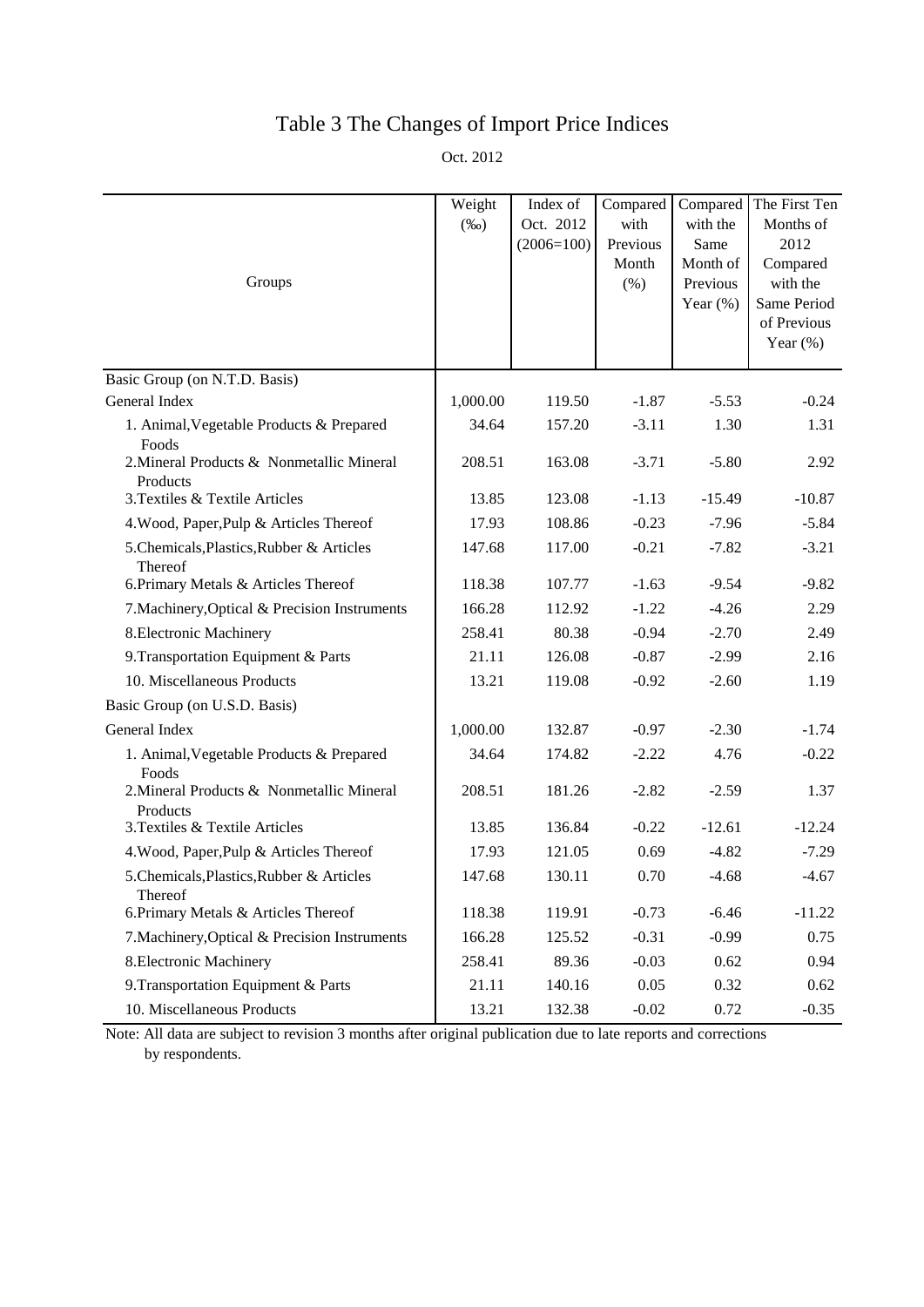## Table 3 The Changes of Import Price Indices

Oct. 2012

| Groups                                                         | Weight<br>$(\%0)$ | Index of<br>Oct. 2012<br>$(2006=100)$ | Compared<br>with<br>Previous<br>Month<br>(% ) | Compared<br>with the<br>Same<br>Month of<br>Previous<br>Year $(\%)$ | The First Ten<br>Months of<br>2012<br>Compared<br>with the<br>Same Period<br>of Previous<br>Year $(\%)$ |
|----------------------------------------------------------------|-------------------|---------------------------------------|-----------------------------------------------|---------------------------------------------------------------------|---------------------------------------------------------------------------------------------------------|
| Basic Group (on N.T.D. Basis)                                  |                   |                                       |                                               |                                                                     |                                                                                                         |
| General Index                                                  | 1,000.00          | 119.50                                | $-1.87$                                       | $-5.53$                                                             | $-0.24$                                                                                                 |
| 1. Animal, Vegetable Products & Prepared                       | 34.64             | 157.20                                | $-3.11$                                       | 1.30                                                                | 1.31                                                                                                    |
| Foods<br>2. Mineral Products & Nonmetallic Mineral<br>Products | 208.51            | 163.08                                | $-3.71$                                       | $-5.80$                                                             | 2.92                                                                                                    |
| 3. Textiles & Textile Articles                                 | 13.85             | 123.08                                | $-1.13$                                       | $-15.49$                                                            | $-10.87$                                                                                                |
| 4. Wood, Paper, Pulp & Articles Thereof                        | 17.93             | 108.86                                | $-0.23$                                       | $-7.96$                                                             | $-5.84$                                                                                                 |
| 5. Chemicals, Plastics, Rubber & Articles<br>Thereof           | 147.68            | 117.00                                | $-0.21$                                       | $-7.82$                                                             | $-3.21$                                                                                                 |
| 6. Primary Metals & Articles Thereof                           | 118.38            | 107.77                                | $-1.63$                                       | $-9.54$                                                             | $-9.82$                                                                                                 |
| 7. Machinery, Optical & Precision Instruments                  | 166.28            | 112.92                                | $-1.22$                                       | $-4.26$                                                             | 2.29                                                                                                    |
| 8. Electronic Machinery                                        | 258.41            | 80.38                                 | $-0.94$                                       | $-2.70$                                                             | 2.49                                                                                                    |
| 9. Transportation Equipment & Parts                            | 21.11             | 126.08                                | $-0.87$                                       | $-2.99$                                                             | 2.16                                                                                                    |
| 10. Miscellaneous Products                                     | 13.21             | 119.08                                | $-0.92$                                       | $-2.60$                                                             | 1.19                                                                                                    |
| Basic Group (on U.S.D. Basis)                                  |                   |                                       |                                               |                                                                     |                                                                                                         |
| General Index                                                  | 1,000.00          | 132.87                                | $-0.97$                                       | $-2.30$                                                             | $-1.74$                                                                                                 |
| 1. Animal, Vegetable Products & Prepared<br>Foods              | 34.64             | 174.82                                | $-2.22$                                       | 4.76                                                                | $-0.22$                                                                                                 |
| 2. Mineral Products & Nonmetallic Mineral<br>Products          | 208.51            | 181.26                                | $-2.82$                                       | $-2.59$                                                             | 1.37                                                                                                    |
| 3. Textiles & Textile Articles                                 | 13.85             | 136.84                                | $-0.22$                                       | $-12.61$                                                            | $-12.24$                                                                                                |
| 4. Wood, Paper, Pulp & Articles Thereof                        | 17.93             | 121.05                                | 0.69                                          | $-4.82$                                                             | $-7.29$                                                                                                 |
| 5. Chemicals, Plastics, Rubber & Articles<br>Thereof           | 147.68            | 130.11                                | 0.70                                          | $-4.68$                                                             | $-4.67$                                                                                                 |
| 6. Primary Metals & Articles Thereof                           | 118.38            | 119.91                                | $-0.73$                                       | $-6.46$                                                             | $-11.22$                                                                                                |
| 7. Machinery, Optical & Precision Instruments                  | 166.28            | 125.52                                | $-0.31$                                       | $-0.99$                                                             | 0.75                                                                                                    |
| 8. Electronic Machinery                                        | 258.41            | 89.36                                 | $-0.03$                                       | 0.62                                                                | 0.94                                                                                                    |
| 9. Transportation Equipment & Parts                            | 21.11             | 140.16                                | 0.05                                          | 0.32                                                                | 0.62                                                                                                    |
| 10. Miscellaneous Products                                     | 13.21             | 132.38                                | $-0.02$                                       | 0.72                                                                | $-0.35$                                                                                                 |

Note: All data are subject to revision 3 months after original publication due to late reports and corrections by respondents.